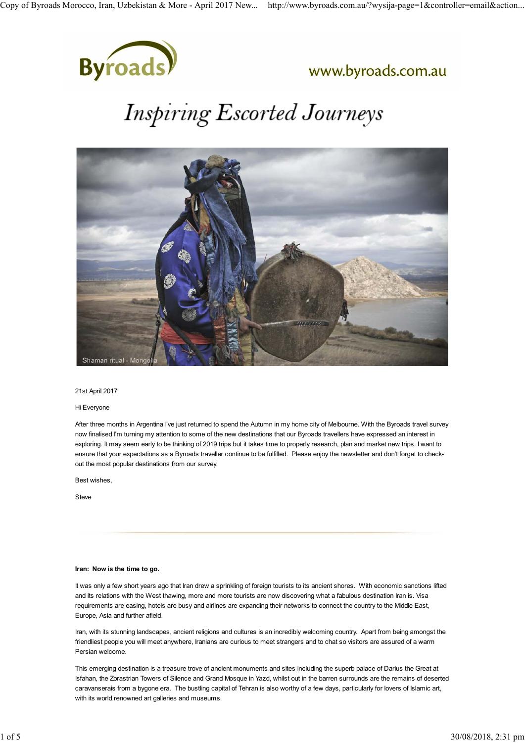

### www.byroads.com.au

# **Inspiring Escorted Journeys**



#### 21st April 2017

#### Hi Everyone

After three months in Argentina I've just returned to spend the Autumn in my home city of Melbourne. With the Byroads travel survey now finalised I'm turning my attention to some of the new destinations that our Byroads travellers have expressed an interest in exploring. It may seem early to be thinking of 2019 trips but it takes time to properly research, plan and market new trips. I want to ensure that your expectations as a Byroads traveller continue to be fulfilled. Please enjoy the newsletter and don't forget to checkout the most popular destinations from our survey.

Best wishes,

Steve

#### **Iran: Now is the time to go.**

It was only a few short years ago that Iran drew a sprinkling of foreign tourists to its ancient shores. With economic sanctions lifted and its relations with the West thawing, more and more tourists are now discovering what a fabulous destination Iran is. Visa requirements are easing, hotels are busy and airlines are expanding their networks to connect the country to the Middle East, Europe, Asia and further afield.

Iran, with its stunning landscapes, ancient religions and cultures is an incredibly welcoming country. Apart from being amongst the friendliest people you will meet anywhere, Iranians are curious to meet strangers and to chat so visitors are assured of a warm Persian welcome.

This emerging destination is a treasure trove of ancient monuments and sites including the superb palace of Darius the Great at Isfahan, the Zorastrian Towers of Silence and Grand Mosque in Yazd, whilst out in the barren surrounds are the remains of deserted caravanserais from a bygone era. The bustling capital of Tehran is also worthy of a few days, particularly for lovers of Islamic art, with its world renowned art galleries and museums.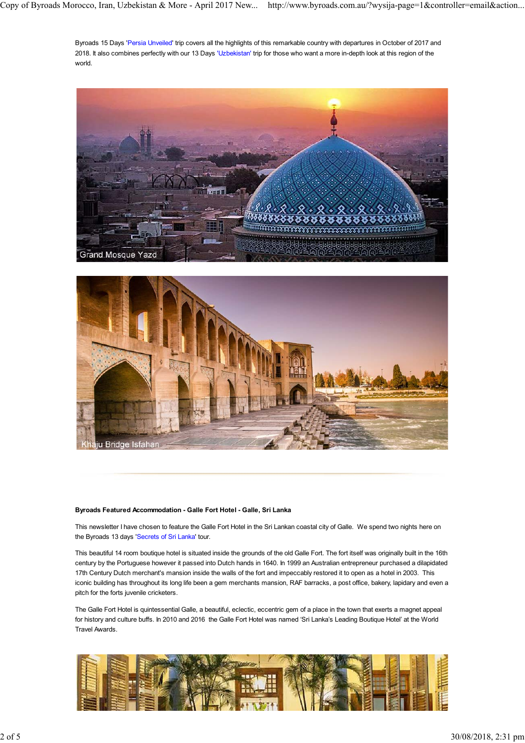Byroads 15 Days 'Persia Unveiled' trip covers all the highlights of this remarkable country with departures in October of 2017 and 2018. It also combines perfectly with our 13 Days 'Uzbekistan' trip for those who want a more in-depth look at this region of the world.





#### **Byroads Featured Accommodation - Galle Fort Hotel - Galle, Sri Lanka**

This newsletter I have chosen to feature the Galle Fort Hotel in the Sri Lankan coastal city of Galle. We spend two nights here on the Byroads 13 days 'Secrets of Sri Lanka' tour.

This beautiful 14 room boutique hotel is situated inside the grounds of the old Galle Fort. The fort itself was originally built in the 16th century by the Portuguese however it passed into Dutch hands in 1640. In 1999 an Australian entrepreneur purchased a dilapidated 17th Century Dutch merchant's mansion inside the walls of the fort and impeccably restored it to open as a hotel in 2003. This iconic building has throughout its long life been a gem merchants mansion, RAF barracks, a post office, bakery, lapidary and even a pitch for the forts juvenile cricketers.

The Galle Fort Hotel is quintessential Galle, a beautiful, eclectic, eccentric gem of a place in the town that exerts a magnet appeal for history and culture buffs. In 2010 and 2016 the Galle Fort Hotel was named 'Sri Lanka's Leading Boutique Hotel' at the World Travel Awards.

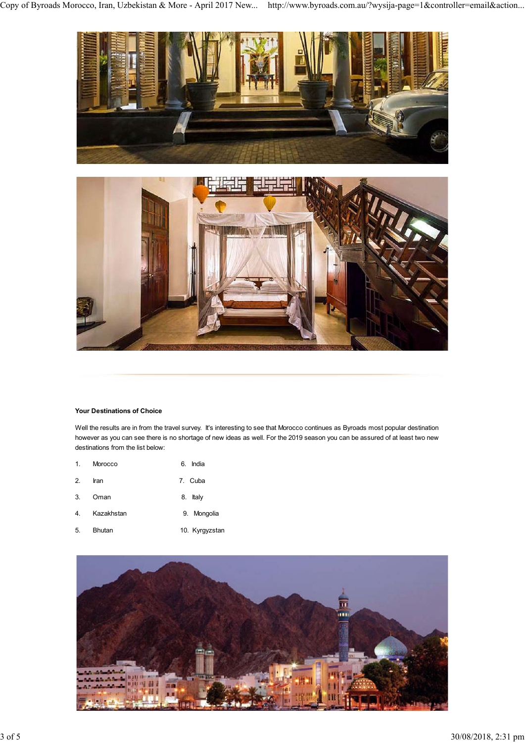



#### **Your Destinations of Choice**

Well the results are in from the travel survey. It's interesting to see that Morocco continues as Byroads most popular destination however as you can see there is no shortage of new ideas as well. For the 2019 season you can be assured of at least two new destinations from the list below:

| $1 \quad$ | Morocco | 6. India |
|-----------|---------|----------|
| 2.        | Iran    | 7. Cuba  |

- 3. Oman 8. Italy
- 4. Kazakhstan 9. Mongolia
- 5. Bhutan 10. Kyrgyzstan

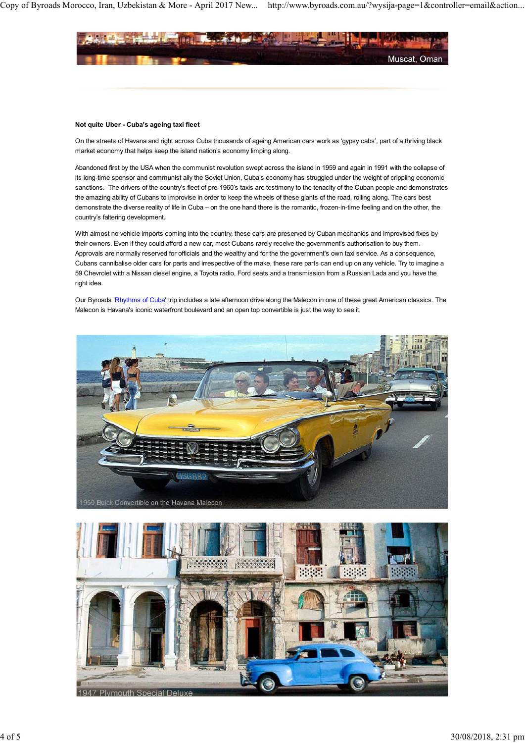

#### **Not quite Uber - Cuba's ageing taxi fleet**

On the streets of Havana and right across Cuba thousands of ageing American cars work as 'gypsy cabs', part of a thriving black market economy that helps keep the island nation's economy limping along.

Abandoned first by the USA when the communist revolution swept across the island in 1959 and again in 1991 with the collapse of its long-time sponsor and communist ally the Soviet Union, Cuba's economy has struggled under the weight of crippling economic sanctions. The drivers of the country's fleet of pre-1960's taxis are testimony to the tenacity of the Cuban people and demonstrates the amazing ability of Cubans to improvise in order to keep the wheels of these giants of the road, rolling along. The cars best demonstrate the diverse reality of life in Cuba – on the one hand there is the romantic, frozen-in-time feeling and on the other, the country's faltering development.

With almost no vehicle imports coming into the country, these cars are preserved by Cuban mechanics and improvised fixes by their owners. Even if they could afford a new car, most Cubans rarely receive the government's authorisation to buy them. Approvals are normally reserved for officials and the wealthy and for the the government's own taxi service. As a consequence, Cubans cannibalise older cars for parts and irrespective of the make, these rare parts can end up on any vehicle. Try to imagine a 59 Chevrolet with a Nissan diesel engine, a Toyota radio, Ford seats and a transmission from a Russian Lada and you have the right idea.

Our Byroads 'Rhythms of Cuba' trip includes a late afternoon drive along the Malecon in one of these great American classics. The Malecon is Havana's iconic waterfront boulevard and an open top convertible is just the way to see it.